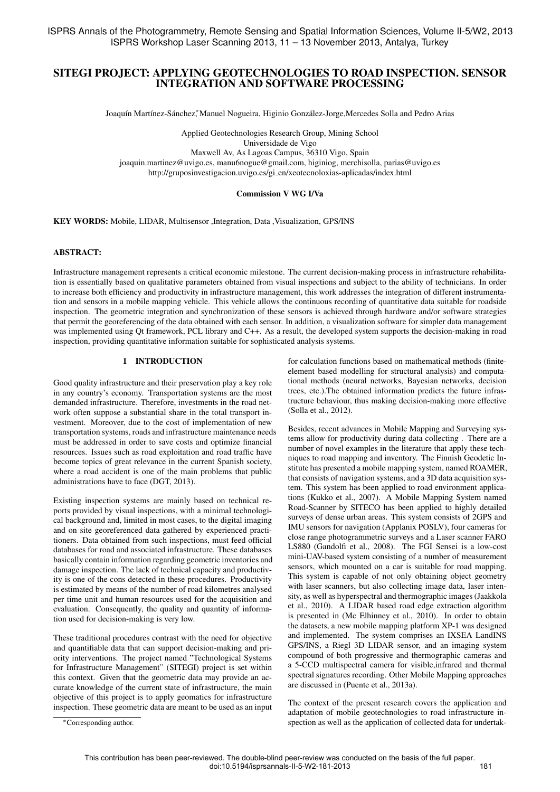# SITEGI PROJECT: APPLYING GEOTECHNOLOGIES TO ROAD INSPECTION. SENSOR INTEGRATION AND SOFTWARE PROCESSING

Joaquín Martínez-Sánchez,\* Manuel Nogueira, Higinio González-Jorge,Mercedes Solla and Pedro Arias

Applied Geotechnologies Research Group, Mining School

Universidade de Vigo

Maxwell Av, As Lagoas Campus, 36310 Vigo, Spain

joaquin.martinez@uvigo.es, manu6nogue@gmail.com, higiniog, merchisolla, parias@uvigo.es http://gruposinvestigacion.uvigo.es/gi en/xeotecnoloxias-aplicadas/index.html

#### Commission V WG I/Va

KEY WORDS: Mobile, LIDAR, Multisensor ,Integration, Data ,Visualization, GPS/INS

#### ABSTRACT:

Infrastructure management represents a critical economic milestone. The current decision-making process in infrastructure rehabilitation is essentially based on qualitative parameters obtained from visual inspections and subject to the ability of technicians. In order to increase both efficiency and productivity in infrastructure management, this work addresses the integration of different instrumentation and sensors in a mobile mapping vehicle. This vehicle allows the continuous recording of quantitative data suitable for roadside inspection. The geometric integration and synchronization of these sensors is achieved through hardware and/or software strategies that permit the georeferencing of the data obtained with each sensor. In addition, a visualization software for simpler data management was implemented using Qt framework, PCL library and C++. As a result, the developed system supports the decision-making in road inspection, providing quantitative information suitable for sophisticated analysis systems.

#### 1 INTRODUCTION

Good quality infrastructure and their preservation play a key role in any country's economy. Transportation systems are the most demanded infrastructure. Therefore, investments in the road network often suppose a substantial share in the total transport investment. Moreover, due to the cost of implementation of new transportation systems, roads and infrastructure maintenance needs must be addressed in order to save costs and optimize financial resources. Issues such as road exploitation and road traffic have become topics of great relevance in the current Spanish society, where a road accident is one of the main problems that public administrations have to face (DGT, 2013).

Existing inspection systems are mainly based on technical reports provided by visual inspections, with a minimal technological background and, limited in most cases, to the digital imaging and on site georeferenced data gathered by experienced practitioners. Data obtained from such inspections, must feed official databases for road and associated infrastructure. These databases basically contain information regarding geometric inventories and damage inspection. The lack of technical capacity and productivity is one of the cons detected in these procedures. Productivity is estimated by means of the number of road kilometres analysed per time unit and human resources used for the acquisition and evaluation. Consequently, the quality and quantity of information used for decision-making is very low.

These traditional procedures contrast with the need for objective and quantifiable data that can support decision-making and priority interventions. The project named "Technological Systems for Infrastructure Management" (SITEGI) project is set within this context. Given that the geometric data may provide an accurate knowledge of the current state of infrastructure, the main objective of this project is to apply geomatics for infrastructure inspection. These geometric data are meant to be used as an input for calculation functions based on mathematical methods (finiteelement based modelling for structural analysis) and computational methods (neural networks, Bayesian networks, decision trees, etc.).The obtained information predicts the future infrastructure behaviour, thus making decision-making more effective (Solla et al., 2012).

Besides, recent advances in Mobile Mapping and Surveying systems allow for productivity during data collecting . There are a number of novel examples in the literature that apply these techniques to road mapping and inventory. The Finnish Geodetic Institute has presented a mobile mapping system, named ROAMER, that consists of navigation systems, and a 3D data acquisition system. This system has been applied to road environment applications (Kukko et al., 2007). A Mobile Mapping System named Road-Scanner by SITECO has been applied to highly detailed surveys of dense urban areas. This system consists of 2GPS and IMU sensors for navigation (Applanix POSLV), four cameras for close range photogrammetric surveys and a Laser scanner FARO LS880 (Gandolfi et al., 2008). The FGI Sensei is a low-cost mini-UAV-based system consisting of a number of measurement sensors, which mounted on a car is suitable for road mapping. This system is capable of not only obtaining object geometry with laser scanners, but also collecting image data, laser intensity, as well as hyperspectral and thermographic images (Jaakkola et al., 2010). A LIDAR based road edge extraction algorithm is presented in (Mc Elhinney et al., 2010). In order to obtain the datasets, a new mobile mapping platform XP-1 was designed and implemented. The system comprises an IXSEA LandINS GPS/INS, a Riegl 3D LIDAR sensor, and an imaging system compound of both progressive and thermographic cameras and a 5-CCD multispectral camera for visible,infrared and thermal spectral signatures recording. Other Mobile Mapping approaches are discussed in (Puente et al., 2013a).

The context of the present research covers the application and adaptation of mobile geotechnologies to road infrastructure inspection as well as the application of collected data for undertak-

<sup>∗</sup>Corresponding author.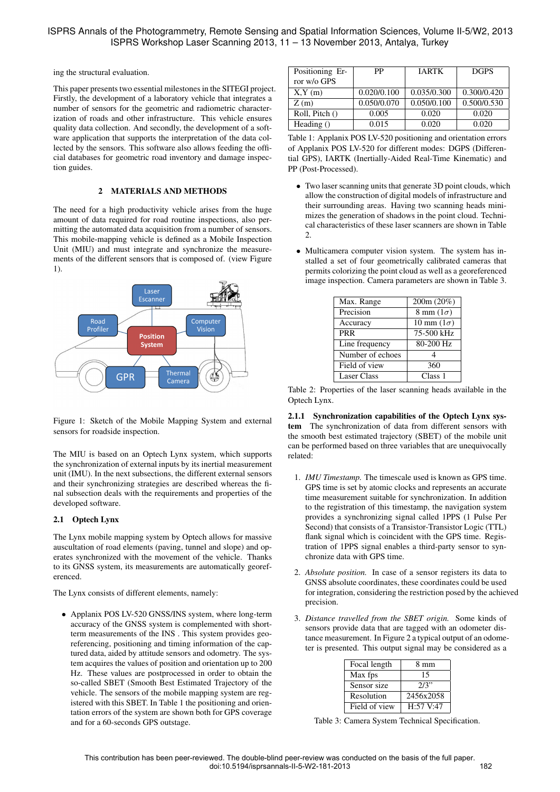ing the structural evaluation.

This paper presents two essential milestones in the SITEGI project. Firstly, the development of a laboratory vehicle that integrates a number of sensors for the geometric and radiometric characterization of roads and other infrastructure. This vehicle ensures quality data collection. And secondly, the development of a software application that supports the interpretation of the data collected by the sensors. This software also allows feeding the official databases for geometric road inventory and damage inspection guides.

## 2 MATERIALS AND METHODS

The need for a high productivity vehicle arises from the huge amount of data required for road routine inspections, also permitting the automated data acquisition from a number of sensors. This mobile-mapping vehicle is defined as a Mobile Inspection Unit (MIU) and must integrate and synchronize the measurements of the different sensors that is composed of. (view Figure 1).



Figure 1: Sketch of the Mobile Mapping System and external sensors for roadside inspection.

The MIU is based on an Optech Lynx system, which supports the synchronization of external inputs by its inertial measurement unit (IMU). In the next subsections, the different external sensors and their synchronizing strategies are described whereas the final subsection deals with the requirements and properties of the developed software.

# 2.1 Optech Lynx

The Lynx mobile mapping system by Optech allows for massive auscultation of road elements (paving, tunnel and slope) and operates synchronized with the movement of the vehicle. Thanks to its GNSS system, its measurements are automatically georeferenced.

The Lynx consists of different elements, namely:

• Applanix POS LV-520 GNSS/INS system, where long-term accuracy of the GNSS system is complemented with shortterm measurements of the INS . This system provides georeferencing, positioning and timing information of the captured data, aided by attitude sensors and odometry. The system acquires the values of position and orientation up to 200 Hz. These values are postprocessed in order to obtain the so-called SBET (Smooth Best Estimated Trajectory of the vehicle. The sensors of the mobile mapping system are registered with this SBET. In Table 1 the positioning and orientation errors of the system are shown both for GPS coverage and for a 60-seconds GPS outstage.

| PP          | <b>JARTK</b> | <b>DGPS</b> |
|-------------|--------------|-------------|
|             |              |             |
| 0.020/0.100 | 0.035/0.300  | 0.300/0.420 |
| 0.050/0.070 | 0.050/0.100  | 0.500/0.530 |
| 0.005       | 0.020        | 0.020       |
| 0.015       | 0.020        | 0.020       |
|             |              |             |

Table 1: Applanix POS LV-520 positioning and orientation errors of Applanix POS LV-520 for different modes: DGPS (Differential GPS), IARTK (Inertially-Aided Real-Time Kinematic) and PP (Post-Processed).

- Two laser scanning units that generate 3D point clouds, which allow the construction of digital models of infrastructure and their surrounding areas. Having two scanning heads minimizes the generation of shadows in the point cloud. Technical characteristics of these laser scanners are shown in Table 2.
- Multicamera computer vision system. The system has installed a set of four geometrically calibrated cameras that permits colorizing the point cloud as well as a georeferenced image inspection. Camera parameters are shown in Table 3.

| Max. Range         | 200m (20%)               |
|--------------------|--------------------------|
| Precision          | $8 \text{ mm} (1\sigma)$ |
| Accuracy           | 10 mm $(1\sigma)$        |
| <b>PRR</b>         | 75-500 kHz               |
| Line frequency     | 80-200 Hz                |
| Number of echoes   | 4                        |
| Field of view      | 360                      |
| <b>Laser Class</b> | Class 1                  |

Table 2: Properties of the laser scanning heads available in the Optech Lynx.

2.1.1 Synchronization capabilities of the Optech Lynx system The synchronization of data from different sensors with the smooth best estimated trajectory (SBET) of the mobile unit can be performed based on three variables that are unequivocally related:

- 1. *IMU Timestamp.* The timescale used is known as GPS time. GPS time is set by atomic clocks and represents an accurate time measurement suitable for synchronization. In addition to the registration of this timestamp, the navigation system provides a synchronizing signal called 1PPS (1 Pulse Per Second) that consists of a Transistor-Transistor Logic (TTL) flank signal which is coincident with the GPS time. Registration of 1PPS signal enables a third-party sensor to synchronize data with GPS time.
- 2. *Absolute position.* In case of a sensor registers its data to GNSS absolute coordinates, these coordinates could be used for integration, considering the restriction posed by the achieved precision.
- 3. *Distance travelled from the SBET origin.* Some kinds of sensors provide data that are tagged with an odometer distance measurement. In Figure 2 a typical output of an odometer is presented. This output signal may be considered as a

| Focal length  | 8 mm      |
|---------------|-----------|
| Max fps       | 15        |
| Sensor size   | 2/3"      |
| Resolution    | 2456x2058 |
| Field of view | H:57 V:47 |

Table 3: Camera System Technical Specification.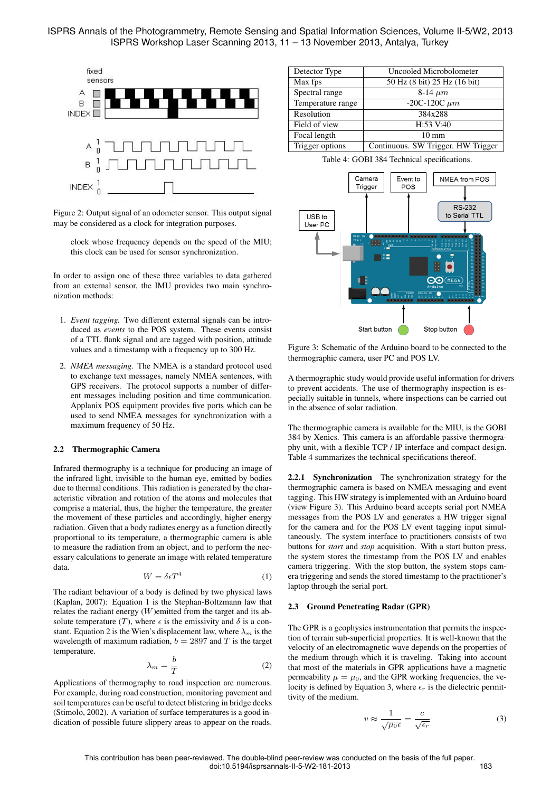

Figure 2: Output signal of an odometer sensor. This output signal may be considered as a clock for integration purposes.

clock whose frequency depends on the speed of the MIU; this clock can be used for sensor synchronization.

In order to assign one of these three variables to data gathered from an external sensor, the IMU provides two main synchronization methods:

- 1. *Event tagging.* Two different external signals can be introduced as *events* to the POS system. These events consist of a TTL flank signal and are tagged with position, attitude values and a timestamp with a frequency up to 300 Hz.
- 2. *NMEA messaging.* The NMEA is a standard protocol used to exchange text messages, namely NMEA sentences, with GPS receivers. The protocol supports a number of different messages including position and time communication. Applanix POS equipment provides five ports which can be used to send NMEA messages for synchronization with a maximum frequency of 50 Hz.

#### 2.2 Thermographic Camera

Infrared thermography is a technique for producing an image of the infrared light, invisible to the human eye, emitted by bodies due to thermal conditions. This radiation is generated by the characteristic vibration and rotation of the atoms and molecules that comprise a material, thus, the higher the temperature, the greater the movement of these particles and accordingly, higher energy radiation. Given that a body radiates energy as a function directly proportional to its temperature, a thermographic camera is able to measure the radiation from an object, and to perform the necessary calculations to generate an image with related temperature data.

$$
W = \delta \epsilon T^4 \tag{1}
$$

The radiant behaviour of a body is defined by two physical laws (Kaplan, 2007): Equation 1 is the Stephan-Boltzmann law that relates the radiant energy (W)emitted from the target and its absolute temperature (T), where  $\epsilon$  is the emissivity and  $\delta$  is a constant. Equation 2 is the Wien's displacement law, where  $\lambda_m$  is the wavelength of maximum radiation,  $b = 2897$  and T is the target temperature.

$$
\lambda_m = \frac{b}{T} \tag{2}
$$

Applications of thermography to road inspection are numerous. For example, during road construction, monitoring pavement and soil temperatures can be useful to detect blistering in bridge decks (Stimolo, 2002). A variation of surface temperatures is a good indication of possible future slippery areas to appear on the roads.

| Detector Type     | Uncooled Microbolometer            |
|-------------------|------------------------------------|
| Max fps           | 50 Hz (8 bit) 25 Hz (16 bit)       |
| Spectral range    | 8-14 $\mu$ m                       |
| Temperature range | $-20C-120C \mu m$                  |
| Resolution        | 384x288                            |
| Field of view     | H:53 V:40                          |
| Focal length      | $10 \text{ mm}$                    |
| Trigger options   | Continuous. SW Trigger. HW Trigger |

Table 4: GOBI 384 Technical specifications.



Figure 3: Schematic of the Arduino board to be connected to the thermographic camera, user PC and POS LV.

A thermographic study would provide useful information for drivers to prevent accidents. The use of thermography inspection is especially suitable in tunnels, where inspections can be carried out in the absence of solar radiation.

The thermographic camera is available for the MIU, is the GOBI 384 by Xenics. This camera is an affordable passive thermography unit, with a flexible TCP / IP interface and compact design. Table 4 summarizes the technical specifications thereof.

2.2.1 Synchronization The synchronization strategy for the thermographic camera is based on NMEA messaging and event tagging. This HW strategy is implemented with an Arduino board (view Figure 3). This Arduino board accepts serial port NMEA messages from the POS LV and generates a HW trigger signal for the camera and for the POS LV event tagging input simultaneously. The system interface to practitioners consists of two buttons for *start* and *stop* acquisition. With a start button press, the system stores the timestamp from the POS LV and enables camera triggering. With the stop button, the system stops camera triggering and sends the stored timestamp to the practitioner's laptop through the serial port.

### 2.3 Ground Penetrating Radar (GPR)

The GPR is a geophysics instrumentation that permits the inspection of terrain sub-superficial properties. It is well-known that the velocity of an electromagnetic wave depends on the properties of the medium through which it is traveling. Taking into account that most of the materials in GPR applications have a magnetic permeability  $\mu = \mu_0$ , and the GPR working frequencies, the velocity is defined by Equation 3, where  $\epsilon_r$  is the dielectric permittivity of the medium.

$$
v \approx \frac{1}{\sqrt{\mu_0 \epsilon}} = \frac{c}{\sqrt{\epsilon_r}}
$$
 (3)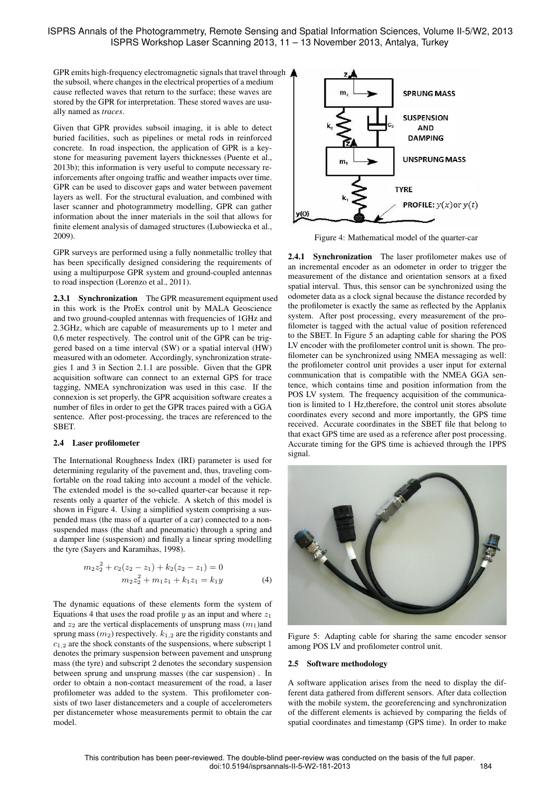GPR emits high-frequency electromagnetic signals that travel through the subsoil, where changes in the electrical properties of a medium cause reflected waves that return to the surface; these waves are stored by the GPR for interpretation. These stored waves are usually named as *traces*.

Given that GPR provides subsoil imaging, it is able to detect buried facilities, such as pipelines or metal rods in reinforced concrete. In road inspection, the application of GPR is a keystone for measuring pavement layers thicknesses (Puente et al., 2013b); this information is very useful to compute necessary reinforcements after ongoing traffic and weather impacts over time. GPR can be used to discover gaps and water between pavement layers as well. For the structural evaluation, and combined with laser scanner and photogrammetry modelling, GPR can gather information about the inner materials in the soil that allows for finite element analysis of damaged structures (Lubowiecka et al., 2009).

GPR surveys are performed using a fully nonmetallic trolley that has been specifically designed considering the requirements of using a multipurpose GPR system and ground-coupled antennas to road inspection (Lorenzo et al., 2011).

2.3.1 Synchronization The GPR measurement equipment used in this work is the ProEx control unit by MALA Geoscience and two ground-coupled antennas with frequencies of 1GHz and 2.3GHz, which are capable of measurements up to 1 meter and 0,6 meter respectively. The control unit of the GPR can be triggered based on a time interval (SW) or a spatial interval (HW) measured with an odometer. Accordingly, synchronization strategies 1 and 3 in Section 2.1.1 are possible. Given that the GPR acquisition software can connect to an external GPS for trace tagging, NMEA synchronization was used in this case. If the connexion is set properly, the GPR acquisition software creates a number of files in order to get the GPR traces paired with a GGA sentence. After post-processing, the traces are referenced to the SBET.

### 2.4 Laser profilometer

The International Roughness Index (IRI) parameter is used for determining regularity of the pavement and, thus, traveling comfortable on the road taking into account a model of the vehicle. The extended model is the so-called quarter-car because it represents only a quarter of the vehicle. A sketch of this model is shown in Figure 4. Using a simplified system comprising a suspended mass (the mass of a quarter of a car) connected to a nonsuspended mass (the shaft and pneumatic) through a spring and a damper line (suspension) and finally a linear spring modelling the tyre (Sayers and Karamihas, 1998).

$$
m_2 z_2^2 + c_2 (z_2 - z_1) + k_2 (z_2 - z_1) = 0
$$
  

$$
m_2 z_2^2 + m_1 z_1 + k_1 z_1 = k_1 y
$$
 (4)

The dynamic equations of these elements form the system of Equations 4 that uses the road profile  $y$  as an input and where  $z_1$ and  $z_2$  are the vertical displacements of unsprung mass  $(m_1)$ and sprung mass  $(m_2)$  respectively.  $k_{1,2}$  are the rigidity constants and  $c_{1,2}$  are the shock constants of the suspensions, where subscript 1 denotes the primary suspension between pavement and unsprung mass (the tyre) and subscript 2 denotes the secondary suspension between sprung and unsprung masses (the car suspension) . In order to obtain a non-contact measurement of the road, a laser profilometer was added to the system. This profilometer consists of two laser distancemeters and a couple of accelerometers per distancemeter whose measurements permit to obtain the car model.



Figure 4: Mathematical model of the quarter-car

2.4.1 Synchronization The laser profilometer makes use of an incremental encoder as an odometer in order to trigger the measurement of the distance and orientation sensors at a fixed spatial interval. Thus, this sensor can be synchronized using the odometer data as a clock signal because the distance recorded by the profilometer is exactly the same as reflected by the Applanix system. After post processing, every measurement of the profilometer is tagged with the actual value of position referenced to the SBET. In Figure 5 an adapting cable for sharing the POS LV encoder with the profilometer control unit is shown. The profilometer can be synchronized using NMEA messaging as well: the profilometer control unit provides a user input for external communication that is compatible with the NMEA GGA sentence, which contains time and position information from the POS LV system. The frequency acquisition of the communication is limited to 1 Hz,therefore, the control unit stores absolute coordinates every second and more importantly, the GPS time received. Accurate coordinates in the SBET file that belong to that exact GPS time are used as a reference after post processing. Accurate timing for the GPS time is achieved through the 1PPS signal.



Figure 5: Adapting cable for sharing the same encoder sensor among POS LV and profilometer control unit.

#### 2.5 Software methodology

A software application arises from the need to display the different data gathered from different sensors. After data collection with the mobile system, the georeferencing and synchronization of the different elements is achieved by comparing the fields of spatial coordinates and timestamp (GPS time). In order to make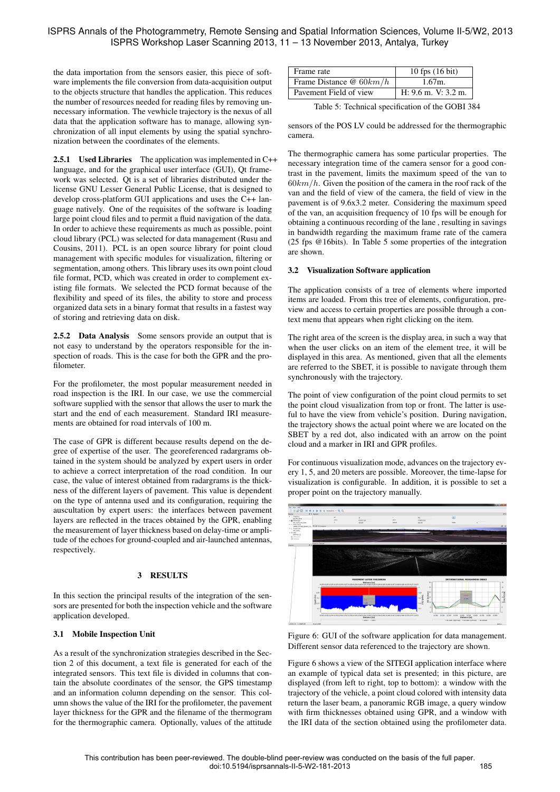the data importation from the sensors easier, this piece of software implements the file conversion from data-acquisition output to the objects structure that handles the application. This reduces the number of resources needed for reading files by removing unnecessary information. The vewhicle trajectory is the nexus of all data that the application software has to manage, allowing synchronization of all input elements by using the spatial synchronization between the coordinates of the elements.

2.5.1 Used Libraries The application was implemented in C++ language, and for the graphical user interface (GUI), Qt framework was selected. Qt is a set of libraries distributed under the license GNU Lesser General Public License, that is designed to develop cross-platform GUI applications and uses the C++ language natively. One of the requisites of the software is loading large point cloud files and to permit a fluid navigation of the data. In order to achieve these requirements as much as possible, point cloud library (PCL) was selected for data management (Rusu and Cousins, 2011). PCL is an open source library for point cloud management with specific modules for visualization, filtering or segmentation, among others. This library uses its own point cloud file format, PCD, which was created in order to complement existing file formats. We selected the PCD format because of the flexibility and speed of its files, the ability to store and process organized data sets in a binary format that results in a fastest way of storing and retrieving data on disk.

2.5.2 Data Analysis Some sensors provide an output that is not easy to understand by the operators responsible for the inspection of roads. This is the case for both the GPR and the profilometer.

For the profilometer, the most popular measurement needed in road inspection is the IRI. In our case, we use the commercial software supplied with the sensor that allows the user to mark the start and the end of each measurement. Standard IRI measurements are obtained for road intervals of 100 m.

The case of GPR is different because results depend on the degree of expertise of the user. The georeferenced radargrams obtained in the system should be analyzed by expert users in order to achieve a correct interpretation of the road condition. In our case, the value of interest obtained from radargrams is the thickness of the different layers of pavement. This value is dependent on the type of antenna used and its configuration, requiring the auscultation by expert users: the interfaces between pavement layers are reflected in the traces obtained by the GPR, enabling the measurement of layer thickness based on delay-time or amplitude of the echoes for ground-coupled and air-launched antennas, respectively.

# 3 RESULTS

In this section the principal results of the integration of the sensors are presented for both the inspection vehicle and the software application developed.

# 3.1 Mobile Inspection Unit

As a result of the synchronization strategies described in the Section 2 of this document, a text file is generated for each of the integrated sensors. This text file is divided in columns that contain the absolute coordinates of the sensor, the GPS timestamp and an information column depending on the sensor. This column shows the value of the IRI for the profilometer, the pavement layer thickness for the GPR and the filename of the thermogram for the thermographic camera. Optionally, values of the attitude

| Frame rate               | $10$ fps $(16$ bit)   |
|--------------------------|-----------------------|
| Frame Distance $@60km/h$ | 1.67m.                |
| Pavement Field of view   | $H: 9.6$ m. V: 3.2 m. |

Table 5: Technical specification of the GOBI 384

sensors of the POS LV could be addressed for the thermographic camera.

The thermographic camera has some particular properties. The necessary integration time of the camera sensor for a good contrast in the pavement, limits the maximum speed of the van to  $60km/h$ . Given the position of the camera in the roof rack of the van and the field of view of the camera, the field of view in the pavement is of 9.6x3.2 meter. Considering the maximum speed of the van, an acquisition frequency of 10 fps will be enough for obtaining a continuous recording of the lane , resulting in savings in bandwidth regarding the maximum frame rate of the camera (25 fps @16bits). In Table 5 some properties of the integration are shown.

### 3.2 Visualization Software application

The application consists of a tree of elements where imported items are loaded. From this tree of elements, configuration, preview and access to certain properties are possible through a context menu that appears when right clicking on the item.

The right area of the screen is the display area, in such a way that when the user clicks on an item of the element tree, it will be displayed in this area. As mentioned, given that all the elements are referred to the SBET, it is possible to navigate through them synchronously with the trajectory.

The point of view configuration of the point cloud permits to set the point cloud visualization from top or front. The latter is useful to have the view from vehicle's position. During navigation, the trajectory shows the actual point where we are located on the SBET by a red dot, also indicated with an arrow on the point cloud and a marker in IRI and GPR profiles.

For continuous visualization mode, advances on the trajectory every 1, 5, and 20 meters are possible. Moreover, the time-lapse for visualization is configurable. In addition, it is possible to set a proper point on the trajectory manually.



Figure 6: GUI of the software application for data management. Different sensor data referenced to the trajectory are shown.

Figure 6 shows a view of the SITEGI application interface where an example of typical data set is presented; in this picture, are displayed (from left to right, top to bottom): a window with the trajectory of the vehicle, a point cloud colored with intensity data return the laser beam, a panoramic RGB image, a query window with firm thicknesses obtained using GPR, and a window with the IRI data of the section obtained using the profilometer data.